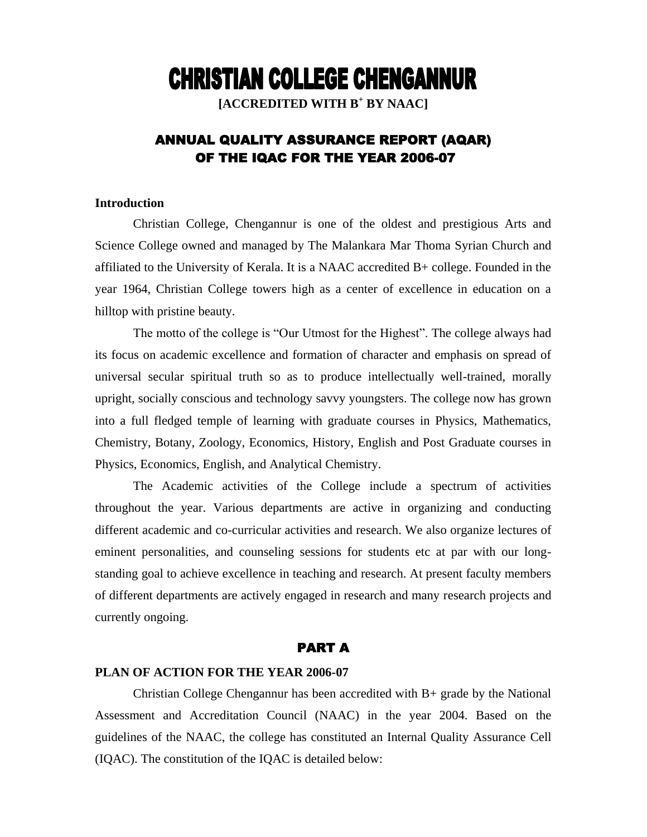# **CHRISTIAN COLLEGE CHENGANNUR**

**[ACCREDITED WITH B<sup>+</sup> BY NAAC]**

# ANNUAL QUALITY ASSURANCE REPORT (AQAR) OF THE IQAC FOR THE YEAR 2006-07

#### **Introduction**

Christian College, Chengannur is one of the oldest and prestigious Arts and Science College owned and managed by The Malankara Mar Thoma Syrian Church and affiliated to the University of Kerala. It is a NAAC accredited B+ college. Founded in the year 1964, Christian College towers high as a center of excellence in education on a hilltop with pristine beauty.

The motto of the college is "Our Utmost for the Highest". The college always had its focus on academic excellence and formation of character and emphasis on spread of universal secular spiritual truth so as to produce intellectually well-trained, morally upright, socially conscious and technology savvy youngsters. The college now has grown into a full fledged temple of learning with graduate courses in Physics, Mathematics, Chemistry, Botany, Zoology, Economics, History, English and Post Graduate courses in Physics, Economics, English, and Analytical Chemistry.

The Academic activities of the College include a spectrum of activities throughout the year. Various departments are active in organizing and conducting different academic and co-curricular activities and research. We also organize lectures of eminent personalities, and counseling sessions for students etc at par with our longstanding goal to achieve excellence in teaching and research. At present faculty members of different departments are actively engaged in research and many research projects and currently ongoing.

#### PART A

#### **PLAN OF ACTION FOR THE YEAR 2006-07**

Christian College Chengannur has been accredited with B+ grade by the National Assessment and Accreditation Council (NAAC) in the year 2004. Based on the guidelines of the NAAC, the college has constituted an Internal Quality Assurance Cell (IQAC). The constitution of the IQAC is detailed below: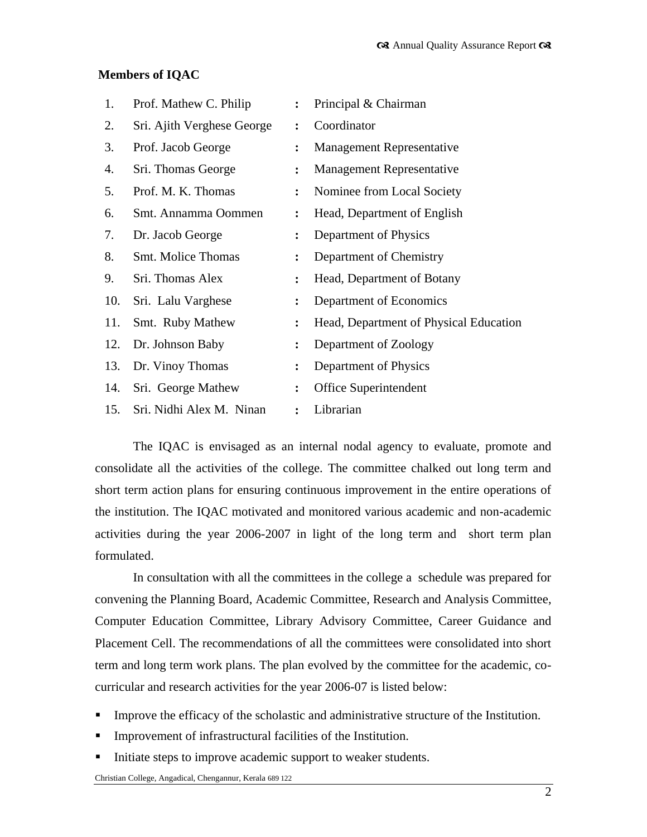## **Members of IQAC**

| 1.  | Prof. Mathew C. Philip     | $\ddot{\cdot}$ | Principal & Chairman                   |
|-----|----------------------------|----------------|----------------------------------------|
| 2.  | Sri. Ajith Verghese George | $\ddot{\cdot}$ | Coordinator                            |
| 3.  | Prof. Jacob George         | $\ddot{\cdot}$ | <b>Management Representative</b>       |
| 4.  | Sri. Thomas George         | $\ddot{\cdot}$ | <b>Management Representative</b>       |
| 5.  | Prof. M. K. Thomas         | ፡              | Nominee from Local Society             |
| 6.  | Smt. Annamma Oommen        | $\ddot{\cdot}$ | Head, Department of English            |
| 7.  | Dr. Jacob George           | ፡              | Department of Physics                  |
| 8.  | <b>Smt. Molice Thomas</b>  | ፡              | Department of Chemistry                |
| 9.  | Sri. Thomas Alex           | ፡              | Head, Department of Botany             |
| 10. | Sri. Lalu Varghese         | ፡              | Department of Economics                |
| 11. | Smt. Ruby Mathew           | ፡              | Head, Department of Physical Education |
| 12. | Dr. Johnson Baby           | ፡              | Department of Zoology                  |
| 13. | Dr. Vinoy Thomas           | $\ddot{\cdot}$ | Department of Physics                  |
| 14. | Sri. George Mathew         | $\ddot{\cdot}$ | Office Superintendent                  |
| 15. | Sri. Nidhi Alex M. Ninan   | $\ddot{\cdot}$ | Librarian                              |

The IQAC is envisaged as an internal nodal agency to evaluate, promote and consolidate all the activities of the college. The committee chalked out long term and short term action plans for ensuring continuous improvement in the entire operations of the institution. The IQAC motivated and monitored various academic and non-academic activities during the year 2006-2007 in light of the long term and short term plan formulated.

In consultation with all the committees in the college a schedule was prepared for convening the Planning Board, Academic Committee, Research and Analysis Committee, Computer Education Committee, Library Advisory Committee, Career Guidance and Placement Cell. The recommendations of all the committees were consolidated into short term and long term work plans. The plan evolved by the committee for the academic, cocurricular and research activities for the year 2006-07 is listed below:

- Improve the efficacy of the scholastic and administrative structure of the Institution.
- **IMPROVEMENT INCOCOLLET IN THE INSTITUTION** Intervention.
- Initiate steps to improve academic support to weaker students.

Christian College, Angadical, Chengannur, Kerala 689 122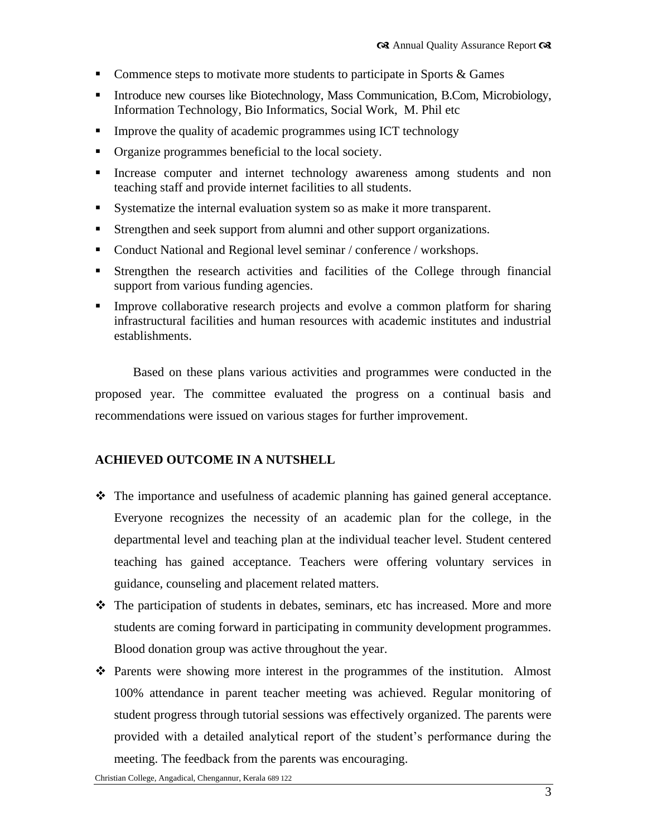- Commence steps to motivate more students to participate in Sports  $\&$  Games
- Introduce new courses like Biotechnology, Mass Communication, B.Com, Microbiology, Information Technology, Bio Informatics, Social Work, M. Phil etc
- Improve the quality of academic programmes using ICT technology
- Organize programmes beneficial to the local society.
- Increase computer and internet technology awareness among students and non teaching staff and provide internet facilities to all students.
- Systematize the internal evaluation system so as make it more transparent.
- Strengthen and seek support from alumni and other support organizations.
- Conduct National and Regional level seminar / conference / workshops.
- Strengthen the research activities and facilities of the College through financial support from various funding agencies.
- Improve collaborative research projects and evolve a common platform for sharing infrastructural facilities and human resources with academic institutes and industrial establishments.

Based on these plans various activities and programmes were conducted in the proposed year. The committee evaluated the progress on a continual basis and recommendations were issued on various stages for further improvement.

## **ACHIEVED OUTCOME IN A NUTSHELL**

- $\hat{\mathbf{v}}$  The importance and usefulness of academic planning has gained general acceptance. Everyone recognizes the necessity of an academic plan for the college, in the departmental level and teaching plan at the individual teacher level. Student centered teaching has gained acceptance. Teachers were offering voluntary services in guidance, counseling and placement related matters.
- The participation of students in debates, seminars, etc has increased. More and more students are coming forward in participating in community development programmes. Blood donation group was active throughout the year.
- Parents were showing more interest in the programmes of the institution. Almost 100% attendance in parent teacher meeting was achieved. Regular monitoring of student progress through tutorial sessions was effectively organized. The parents were provided with a detailed analytical report of the student"s performance during the meeting. The feedback from the parents was encouraging.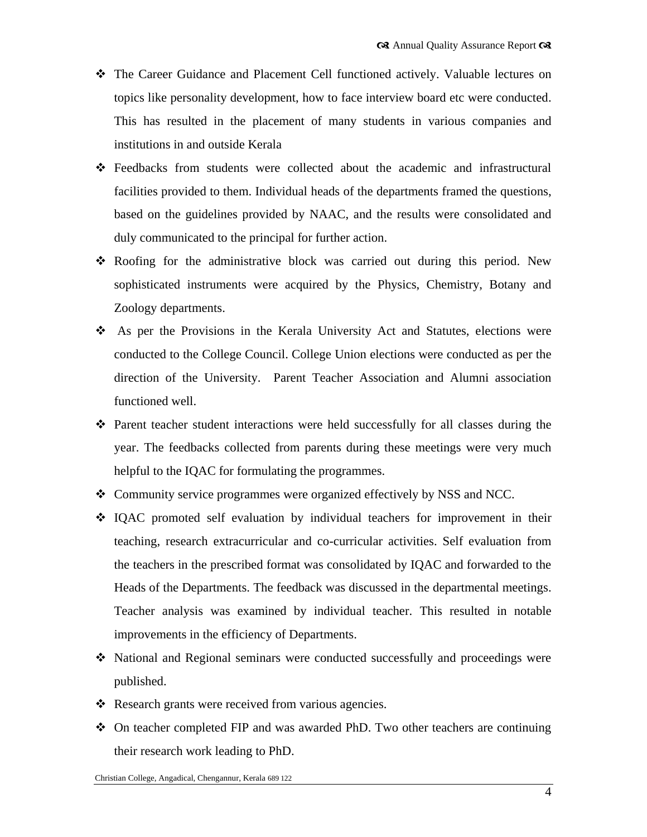- The Career Guidance and Placement Cell functioned actively. Valuable lectures on topics like personality development, how to face interview board etc were conducted. This has resulted in the placement of many students in various companies and institutions in and outside Kerala
- Feedbacks from students were collected about the academic and infrastructural facilities provided to them. Individual heads of the departments framed the questions, based on the guidelines provided by NAAC, and the results were consolidated and duly communicated to the principal for further action.
- Roofing for the administrative block was carried out during this period. New sophisticated instruments were acquired by the Physics, Chemistry, Botany and Zoology departments.
- As per the Provisions in the Kerala University Act and Statutes, elections were conducted to the College Council. College Union elections were conducted as per the direction of the University. Parent Teacher Association and Alumni association functioned well.
- $\hat{\mathbf{v}}$  Parent teacher student interactions were held successfully for all classes during the year. The feedbacks collected from parents during these meetings were very much helpful to the IQAC for formulating the programmes.
- Community service programmes were organized effectively by NSS and NCC.
- IQAC promoted self evaluation by individual teachers for improvement in their teaching, research extracurricular and co-curricular activities. Self evaluation from the teachers in the prescribed format was consolidated by IQAC and forwarded to the Heads of the Departments. The feedback was discussed in the departmental meetings. Teacher analysis was examined by individual teacher. This resulted in notable improvements in the efficiency of Departments.
- National and Regional seminars were conducted successfully and proceedings were published.
- ❖ Research grants were received from various agencies.
- On teacher completed FIP and was awarded PhD. Two other teachers are continuing their research work leading to PhD.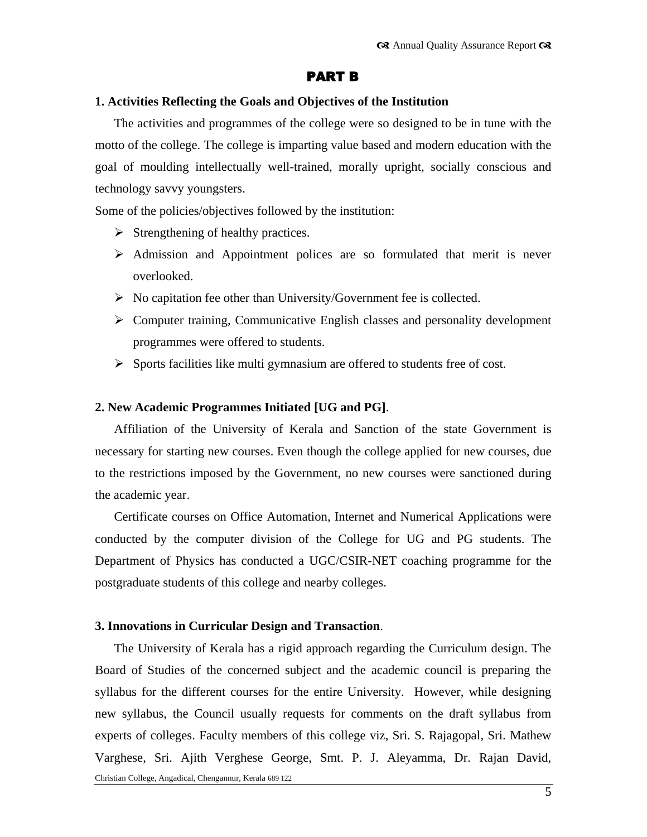## PART B

#### **1. Activities Reflecting the Goals and Objectives of the Institution**

The activities and programmes of the college were so designed to be in tune with the motto of the college. The college is imparting value based and modern education with the goal of moulding intellectually well-trained, morally upright, socially conscious and technology savvy youngsters.

Some of the policies/objectives followed by the institution:

- $\triangleright$  Strengthening of healthy practices.
- $\triangleright$  Admission and Appointment polices are so formulated that merit is never overlooked.
- $\triangleright$  No capitation fee other than University/Government fee is collected.
- $\triangleright$  Computer training, Communicative English classes and personality development programmes were offered to students.
- $\triangleright$  Sports facilities like multi gymnasium are offered to students free of cost.

#### **2. New Academic Programmes Initiated [UG and PG]**.

Affiliation of the University of Kerala and Sanction of the state Government is necessary for starting new courses. Even though the college applied for new courses, due to the restrictions imposed by the Government, no new courses were sanctioned during the academic year.

Certificate courses on Office Automation, Internet and Numerical Applications were conducted by the computer division of the College for UG and PG students. The Department of Physics has conducted a UGC/CSIR-NET coaching programme for the postgraduate students of this college and nearby colleges.

#### **3. Innovations in Curricular Design and Transaction**.

Christian College, Angadical, Chengannur, Kerala 689 122 The University of Kerala has a rigid approach regarding the Curriculum design. The Board of Studies of the concerned subject and the academic council is preparing the syllabus for the different courses for the entire University. However, while designing new syllabus, the Council usually requests for comments on the draft syllabus from experts of colleges. Faculty members of this college viz, Sri. S. Rajagopal, Sri. Mathew Varghese, Sri. Ajith Verghese George, Smt. P. J. Aleyamma, Dr. Rajan David,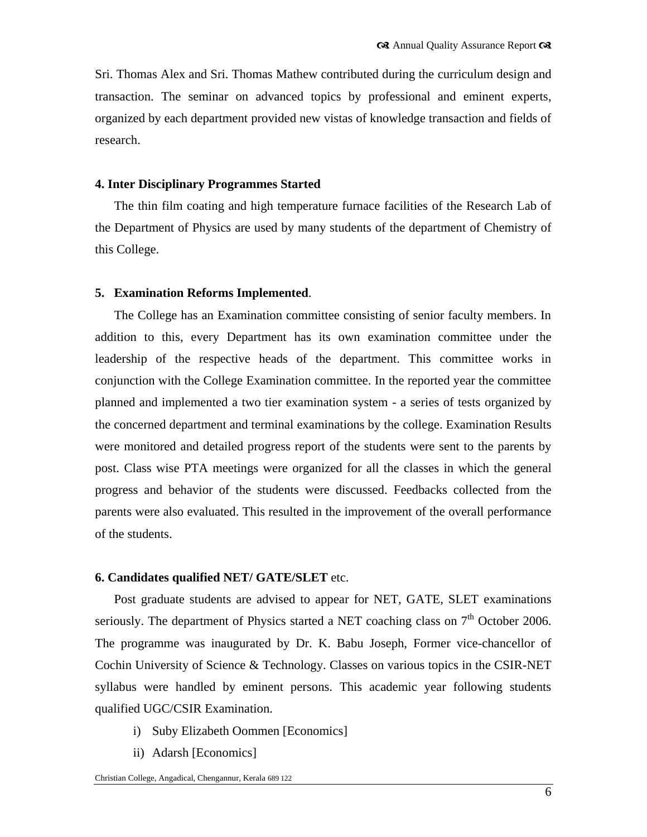Sri. Thomas Alex and Sri. Thomas Mathew contributed during the curriculum design and transaction. The seminar on advanced topics by professional and eminent experts, organized by each department provided new vistas of knowledge transaction and fields of research.

#### **4. Inter Disciplinary Programmes Started**

The thin film coating and high temperature furnace facilities of the Research Lab of the Department of Physics are used by many students of the department of Chemistry of this College.

#### **5. Examination Reforms Implemented**.

The College has an Examination committee consisting of senior faculty members. In addition to this, every Department has its own examination committee under the leadership of the respective heads of the department. This committee works in conjunction with the College Examination committee. In the reported year the committee planned and implemented a two tier examination system - a series of tests organized by the concerned department and terminal examinations by the college. Examination Results were monitored and detailed progress report of the students were sent to the parents by post. Class wise PTA meetings were organized for all the classes in which the general progress and behavior of the students were discussed. Feedbacks collected from the parents were also evaluated. This resulted in the improvement of the overall performance of the students.

#### **6. Candidates qualified NET/ GATE/SLET** etc.

Post graduate students are advised to appear for NET, GATE, SLET examinations seriously. The department of Physics started a NET coaching class on  $7<sup>th</sup>$  October 2006. The programme was inaugurated by Dr. K. Babu Joseph, Former vice-chancellor of Cochin University of Science & Technology. Classes on various topics in the CSIR-NET syllabus were handled by eminent persons. This academic year following students qualified UGC/CSIR Examination.

- i) Suby Elizabeth Oommen [Economics]
- ii) Adarsh [Economics]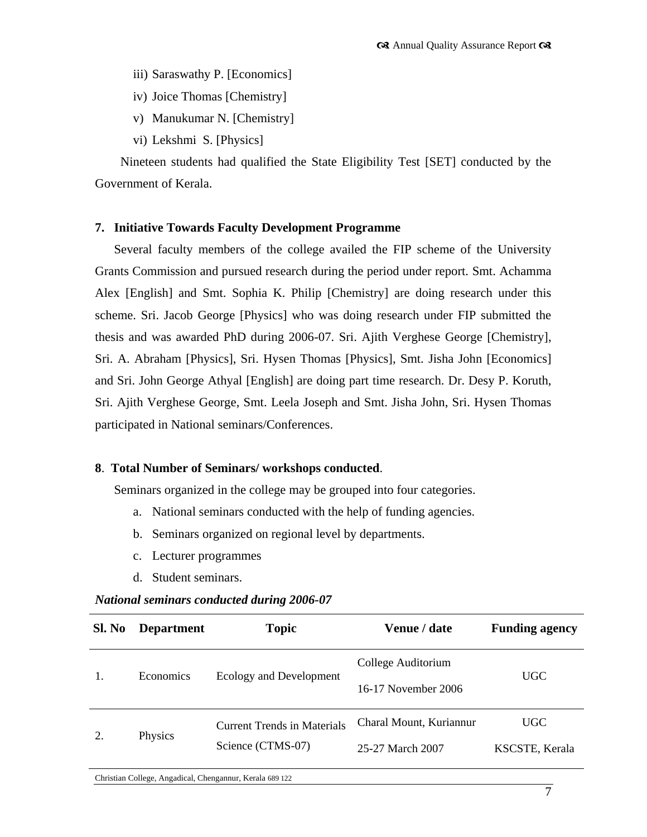- iii) Saraswathy P. [Economics]
- iv) Joice Thomas [Chemistry]
- v) Manukumar N. [Chemistry]
- vi) Lekshmi S. [Physics]

 Nineteen students had qualified the State Eligibility Test [SET] conducted by the Government of Kerala.

#### **7. Initiative Towards Faculty Development Programme**

Several faculty members of the college availed the FIP scheme of the University Grants Commission and pursued research during the period under report. Smt. Achamma Alex [English] and Smt. Sophia K. Philip [Chemistry] are doing research under this scheme. Sri. Jacob George [Physics] who was doing research under FIP submitted the thesis and was awarded PhD during 2006-07. Sri. Ajith Verghese George [Chemistry], Sri. A. Abraham [Physics], Sri. Hysen Thomas [Physics], Smt. Jisha John [Economics] and Sri. John George Athyal [English] are doing part time research. Dr. Desy P. Koruth, Sri. Ajith Verghese George, Smt. Leela Joseph and Smt. Jisha John, Sri. Hysen Thomas participated in National seminars/Conferences.

#### **8**. **Total Number of Seminars/ workshops conducted**.

Seminars organized in the college may be grouped into four categories.

- a. National seminars conducted with the help of funding agencies.
- b. Seminars organized on regional level by departments.
- c. Lecturer programmes
- d. Student seminars.

#### *National seminars conducted during 2006-07*

| Sl. No | <b>Department</b> | <b>Topic</b>                       | Venue / date            | <b>Funding agency</b> |  |
|--------|-------------------|------------------------------------|-------------------------|-----------------------|--|
|        | Economics         | Ecology and Development            | College Auditorium      | <b>UGC</b>            |  |
|        |                   |                                    | 16-17 November 2006     |                       |  |
| 2.     | Physics           | <b>Current Trends in Materials</b> | Charal Mount, Kuriannur | UGC                   |  |
|        |                   | Science (CTMS-07)                  | 25-27 March 2007        | KSCSTE, Kerala        |  |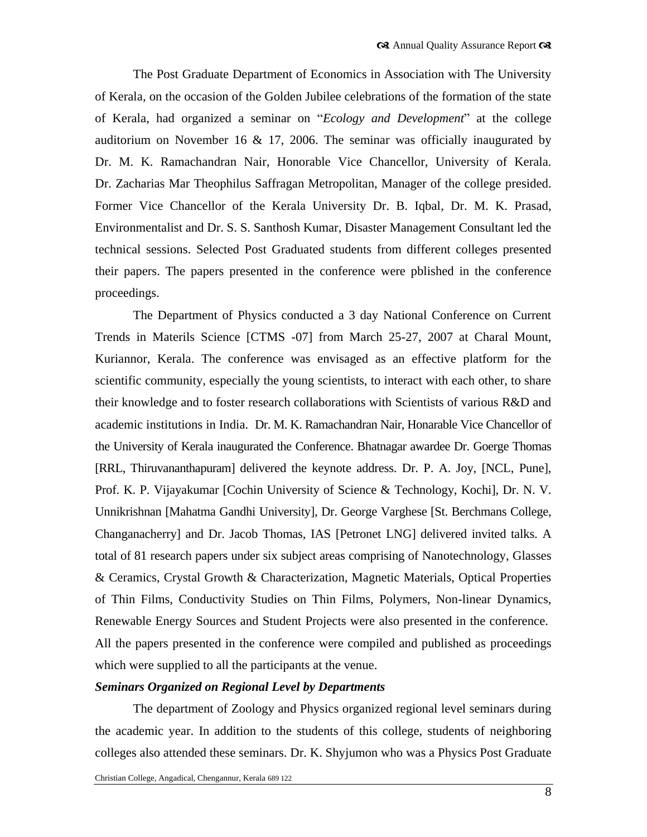The Post Graduate Department of Economics in Association with The University of Kerala, on the occasion of the Golden Jubilee celebrations of the formation of the state of Kerala, had organized a seminar on "*Ecology and Development*" at the college auditorium on November 16 & 17, 2006. The seminar was officially inaugurated by Dr. M. K. Ramachandran Nair, Honorable Vice Chancellor, University of Kerala. Dr. Zacharias Mar Theophilus Saffragan Metropolitan, Manager of the college presided. Former Vice Chancellor of the Kerala University Dr. B. Iqbal, Dr. M. K. Prasad, Environmentalist and Dr. S. S. Santhosh Kumar, Disaster Management Consultant led the technical sessions. Selected Post Graduated students from different colleges presented their papers. The papers presented in the conference were pblished in the conference proceedings.

The Department of Physics conducted a 3 day National Conference on Current Trends in Materils Science [CTMS -07] from March 25-27, 2007 at Charal Mount, Kuriannor, Kerala. The conference was envisaged as an effective platform for the scientific community, especially the young scientists, to interact with each other, to share their knowledge and to foster research collaborations with Scientists of various R&D and academic institutions in India. Dr. M. K. Ramachandran Nair, Honarable Vice Chancellor of the University of Kerala inaugurated the Conference. Bhatnagar awardee Dr. Goerge Thomas [RRL, Thiruvananthapuram] delivered the keynote address. Dr. P. A. Joy, [NCL, Pune], Prof. K. P. Vijayakumar [Cochin University of Science & Technology, Kochi], Dr. N. V. Unnikrishnan [Mahatma Gandhi University], Dr. George Varghese [St. Berchmans College, Changanacherry] and Dr. Jacob Thomas, IAS [Petronet LNG] delivered invited talks. A total of 81 research papers under six subject areas comprising of Nanotechnology, Glasses & Ceramics, Crystal Growth & Characterization, Magnetic Materials, Optical Properties of Thin Films, Conductivity Studies on Thin Films, Polymers, Non-linear Dynamics, Renewable Energy Sources and Student Projects were also presented in the conference. All the papers presented in the conference were compiled and published as proceedings which were supplied to all the participants at the venue.

## *Seminars Organized on Regional Level by Departments*

The department of Zoology and Physics organized regional level seminars during the academic year. In addition to the students of this college, students of neighboring colleges also attended these seminars. Dr. K. Shyjumon who was a Physics Post Graduate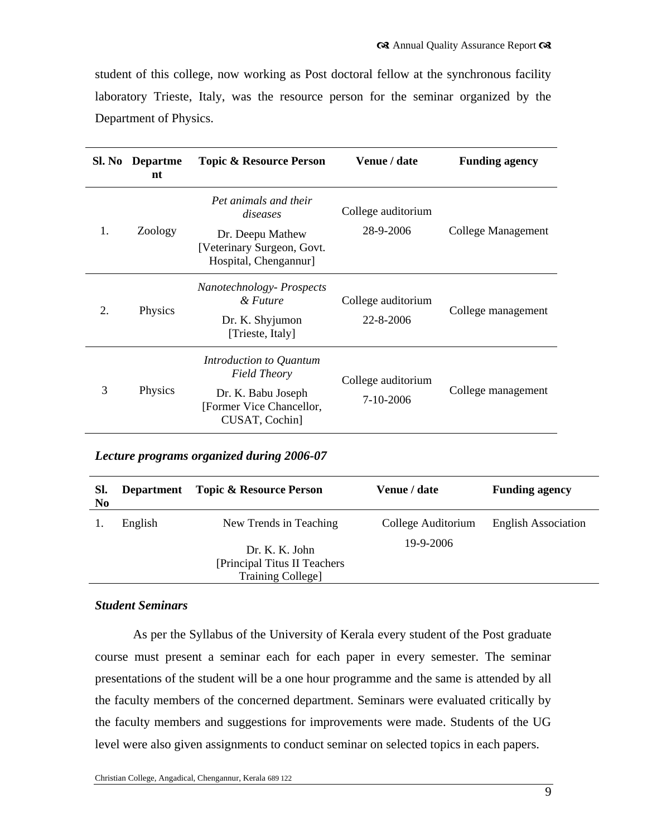student of this college, now working as Post doctoral fellow at the synchronous facility laboratory Trieste, Italy, was the resource person for the seminar organized by the Department of Physics.

|                | Sl. No Departme<br>nt | <b>Topic &amp; Resource Person</b>                                                                                 | Venue / date                    | <b>Funding agency</b> |
|----------------|-----------------------|--------------------------------------------------------------------------------------------------------------------|---------------------------------|-----------------------|
| $\mathbf{1}$ . | Zoology               | Pet animals and their<br>diseases<br>Dr. Deepu Mathew<br>[Veterinary Surgeon, Govt.<br>Hospital, Chengannur]       | College auditorium<br>28-9-2006 | College Management    |
| 2.             | Physics               | Nanotechnology-Prospects<br>& Future<br>Dr. K. Shyjumon<br>[Trieste, Italy]                                        | College auditorium<br>22-8-2006 | College management    |
| 3              | Physics               | Introduction to Quantum<br><b>Field Theory</b><br>Dr. K. Babu Joseph<br>[Former Vice Chancellor,<br>CUSAT, Cochin] | College auditorium<br>7-10-2006 | College management    |

#### *Lecture programs organized during 2006-07*

| SI.<br>N <sub>0</sub> | <b>Department</b> | <b>Topic &amp; Resource Person</b>                                                                    | <b>Venue / date</b>             | <b>Funding agency</b>      |
|-----------------------|-------------------|-------------------------------------------------------------------------------------------------------|---------------------------------|----------------------------|
|                       | English           | New Trends in Teaching<br>Dr. K. K. John<br>[Principal Titus II Teachers]<br><b>Training College]</b> | College Auditorium<br>19-9-2006 | <b>English Association</b> |

## *Student Seminars*

As per the Syllabus of the University of Kerala every student of the Post graduate course must present a seminar each for each paper in every semester. The seminar presentations of the student will be a one hour programme and the same is attended by all the faculty members of the concerned department. Seminars were evaluated critically by the faculty members and suggestions for improvements were made. Students of the UG level were also given assignments to conduct seminar on selected topics in each papers.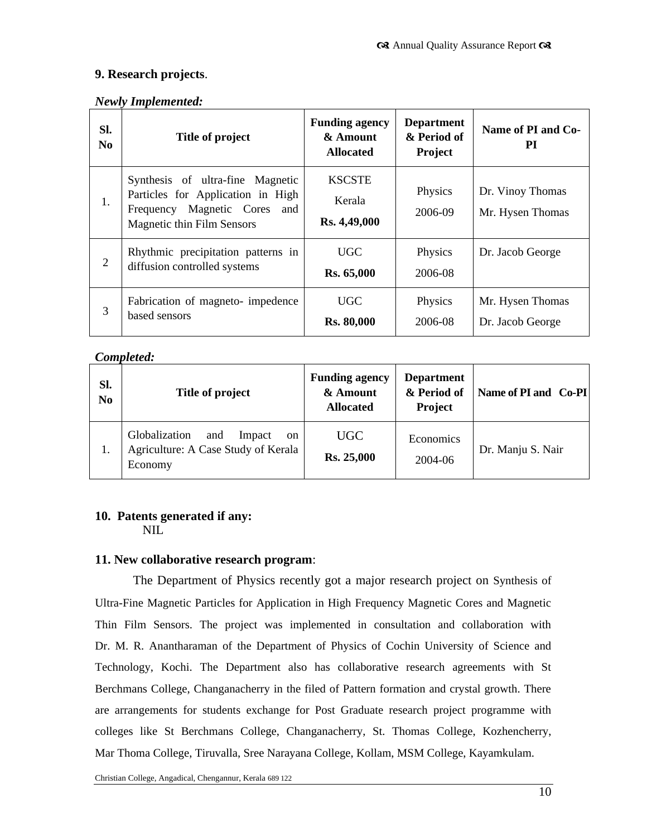## **9. Research projects**.

## *Newly Implemented:*

| Sl.<br>N <sub>0</sub> | Title of project                                                                                                                       | <b>Funding agency</b><br>& Amount<br><b>Allocated</b> | <b>Department</b><br>& Period of<br><b>Project</b> | Name of PI and Co-<br>РI             |
|-----------------------|----------------------------------------------------------------------------------------------------------------------------------------|-------------------------------------------------------|----------------------------------------------------|--------------------------------------|
| 1.                    | Synthesis of ultra-fine Magnetic<br>Particles for Application in High<br>Frequency Magnetic Cores<br>and<br>Magnetic thin Film Sensors | <b>KSCSTE</b><br>Kerala<br>Rs. 4,49,000               | Physics<br>2006-09                                 | Dr. Vinoy Thomas<br>Mr. Hysen Thomas |
| $\overline{2}$        | Rhythmic precipitation patterns in<br>diffusion controlled systems                                                                     | UGC.<br><b>Rs. 65,000</b>                             | Physics<br>2006-08                                 | Dr. Jacob George                     |
| 3                     | Fabrication of magneto-impedence<br>based sensors                                                                                      | UGC.<br><b>Rs. 80,000</b>                             | Physics<br>2006-08                                 | Mr. Hysen Thomas<br>Dr. Jacob George |

## *Completed:*

| Sl.<br>N <sub>0</sub> | Title of project                                                                                  | <b>Funding agency</b><br>& Amount<br><b>Allocated</b> | <b>Department</b><br>& Period of<br><b>Project</b> | Name of PI and Co-PI |
|-----------------------|---------------------------------------------------------------------------------------------------|-------------------------------------------------------|----------------------------------------------------|----------------------|
| 1.                    | Globalization<br>Impact<br>and<br><sub>on</sub><br>Agriculture: A Case Study of Kerala<br>Economy | UGC<br><b>Rs. 25,000</b>                              | Economics<br>2004-06                               | Dr. Manju S. Nair    |

# **10. Patents generated if any:**

NIL

## **11. New collaborative research program**:

The Department of Physics recently got a major research project on Synthesis of Ultra-Fine Magnetic Particles for Application in High Frequency Magnetic Cores and Magnetic Thin Film Sensors. The project was implemented in consultation and collaboration with Dr. M. R. Anantharaman of the Department of Physics of Cochin University of Science and Technology, Kochi. The Department also has collaborative research agreements with St Berchmans College, Changanacherry in the filed of Pattern formation and crystal growth. There are arrangements for students exchange for Post Graduate research project programme with colleges like St Berchmans College, Changanacherry, St. Thomas College, Kozhencherry, Mar Thoma College, Tiruvalla, Sree Narayana College, Kollam, MSM College, Kayamkulam.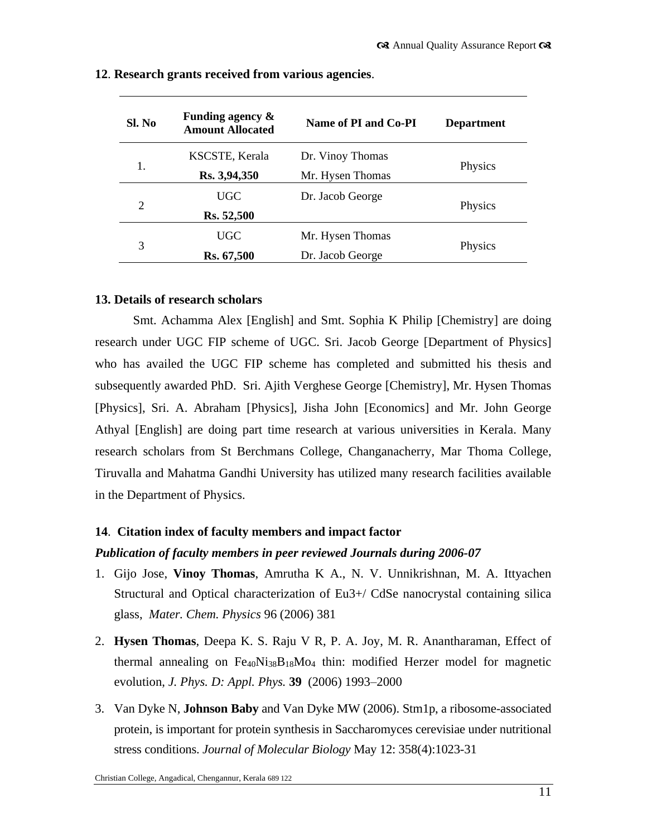| Sl. No | Funding agency $\&$<br><b>Amount Allocated</b> | Name of PI and Co-PI | <b>Department</b> |  |
|--------|------------------------------------------------|----------------------|-------------------|--|
|        | KSCSTE, Kerala                                 | Dr. Vinoy Thomas     |                   |  |
| 1.     | Rs. 3,94,350                                   | Mr. Hysen Thomas     | Physics           |  |
|        | UGC                                            | Dr. Jacob George     |                   |  |
| 2      | Rs. 52,500                                     |                      | Physics           |  |
|        | UGC                                            | Mr. Hysen Thomas     |                   |  |
| 3      | Rs. 67,500                                     | Dr. Jacob George     | Physics           |  |

#### **12**. **Research grants received from various agencies**.

## **13. Details of research scholars**

Smt. Achamma Alex [English] and Smt. Sophia K Philip [Chemistry] are doing research under UGC FIP scheme of UGC. Sri. Jacob George [Department of Physics] who has availed the UGC FIP scheme has completed and submitted his thesis and subsequently awarded PhD. Sri. Ajith Verghese George [Chemistry], Mr. Hysen Thomas [Physics], Sri. A. Abraham [Physics], Jisha John [Economics] and Mr. John George Athyal [English] are doing part time research at various universities in Kerala. Many research scholars from St Berchmans College, Changanacherry, Mar Thoma College, Tiruvalla and Mahatma Gandhi University has utilized many research facilities available in the Department of Physics.

## **14**. **Citation index of faculty members and impact factor**

#### *Publication of faculty members in peer reviewed Journals during 2006-07*

- 1. Gijo Jose, **Vinoy Thomas**, Amrutha K A., N. V. Unnikrishnan, M. A. Ittyachen Structural and Optical characterization of Eu3+/ CdSe nanocrystal containing silica glass, *Mater. Chem. Physics* 96 (2006) 381
- 2. **Hysen Thomas**, Deepa K. S. Raju V R, P. A. Joy, M. R. Anantharaman, Effect of thermal annealing on  $Fe_{40}Ni_{38}B_{18}Mo_4$  thin: modified Herzer model for magnetic evolution, *J. Phys. D: Appl. Phys.* **39** (2006) 1993–2000
- 3. [Van Dyke N,](http://www.ncbi.nlm.nih.gov/entrez/query.fcgi?db=pubmed&cmd=Search&itool=pubmed_AbstractPlus&term=%22Van+Dyke+N%22%5BAuthor%5D) **[Johnson](http://www.ncbi.nlm.nih.gov/entrez/query.fcgi?db=pubmed&cmd=Search&itool=pubmed_AbstractPlus&term=%22Baby+J%22%5BAuthor%5D) Baby** and [Van Dyke MW](http://www.ncbi.nlm.nih.gov/entrez/query.fcgi?db=pubmed&cmd=Search&itool=pubmed_AbstractPlus&term=%22Van+Dyke+MW%22%5BAuthor%5D) (2006). Stm1p, a ribosome-associated protein, is important for protein synthesis in Saccharomyces cerevisiae under nutritional stress conditions. *Journal of Molecular Biology* May 12: 358(4):1023-31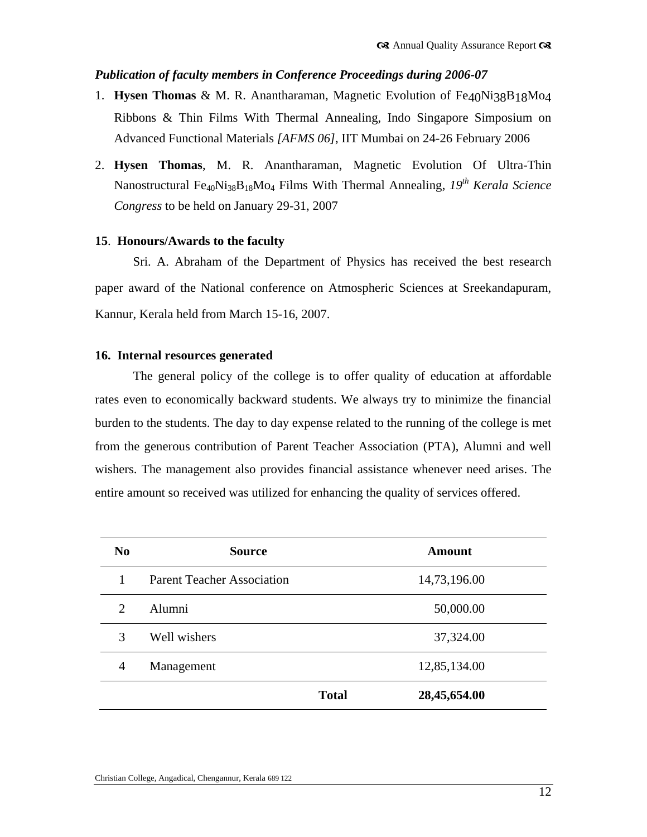## *Publication of faculty members in Conference Proceedings during 2006-07*

- 1. **Hysen Thomas** & M. R. Anantharaman, Magnetic Evolution of Fe40Ni38B18Mo4 Ribbons & Thin Films With Thermal Annealing, Indo Singapore Simposium on Advanced Functional Materials *[AFMS 06]*, IIT Mumbai on 24-26 February 2006
- 2. **Hysen Thomas**, M. R. Anantharaman, Magnetic Evolution Of Ultra-Thin Nanostructural Fe40Ni38B18Mo<sup>4</sup> Films With Thermal Annealing, *19th Kerala Science Congress* to be held on January 29-31, 2007

## **15**. **Honours/Awards to the faculty**

Sri. A. Abraham of the Department of Physics has received the best research paper award of the National conference on Atmospheric Sciences at Sreekandapuram, Kannur, Kerala held from March 15-16, 2007.

#### **16. Internal resources generated**

The general policy of the college is to offer quality of education at affordable rates even to economically backward students. We always try to minimize the financial burden to the students. The day to day expense related to the running of the college is met from the generous contribution of Parent Teacher Association (PTA), Alumni and well wishers. The management also provides financial assistance whenever need arises. The entire amount so received was utilized for enhancing the quality of services offered.

| N <sub>0</sub>              | <b>Source</b>                     |              | Amount       |
|-----------------------------|-----------------------------------|--------------|--------------|
| 1                           | <b>Parent Teacher Association</b> |              | 14,73,196.00 |
| $\mathcal{D}_{\mathcal{L}}$ | Alumni                            |              | 50,000.00    |
| 3                           | Well wishers                      |              | 37,324.00    |
| $\overline{4}$              | Management                        |              | 12,85,134.00 |
|                             |                                   | <b>Total</b> | 28,45,654.00 |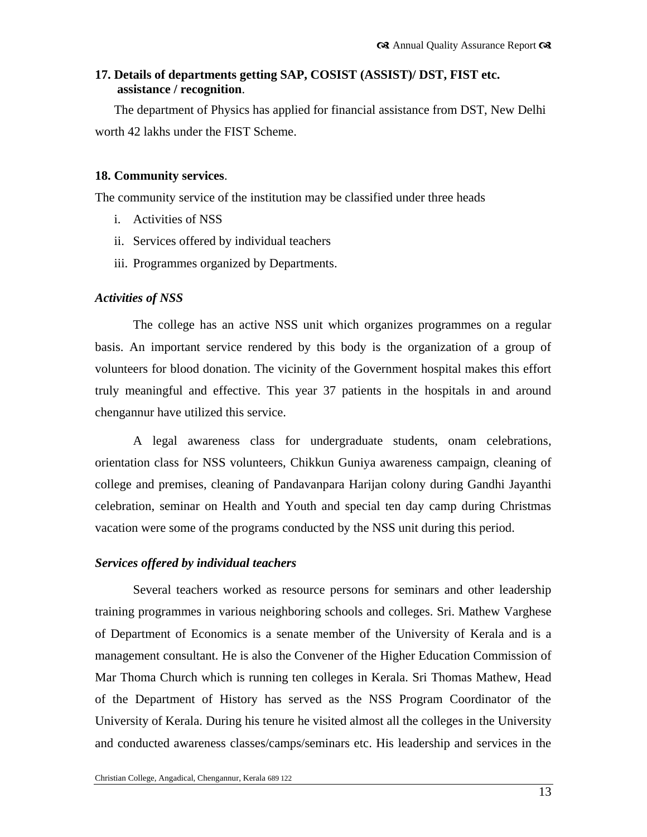## **17. Details of departments getting SAP, COSIST (ASSIST)/ DST, FIST etc. assistance / recognition**.

The department of Physics has applied for financial assistance from DST, New Delhi worth 42 lakhs under the FIST Scheme.

## **18. Community services**.

The community service of the institution may be classified under three heads

- i. Activities of NSS
- ii. Services offered by individual teachers
- iii. Programmes organized by Departments.

## *Activities of NSS*

The college has an active NSS unit which organizes programmes on a regular basis. An important service rendered by this body is the organization of a group of volunteers for blood donation. The vicinity of the Government hospital makes this effort truly meaningful and effective. This year 37 patients in the hospitals in and around chengannur have utilized this service.

A legal awareness class for undergraduate students, onam celebrations, orientation class for NSS volunteers, Chikkun Guniya awareness campaign, cleaning of college and premises, cleaning of Pandavanpara Harijan colony during Gandhi Jayanthi celebration, seminar on Health and Youth and special ten day camp during Christmas vacation were some of the programs conducted by the NSS unit during this period.

#### *Services offered by individual teachers*

Several teachers worked as resource persons for seminars and other leadership training programmes in various neighboring schools and colleges. Sri. Mathew Varghese of Department of Economics is a senate member of the University of Kerala and is a management consultant. He is also the Convener of the Higher Education Commission of Mar Thoma Church which is running ten colleges in Kerala. Sri Thomas Mathew, Head of the Department of History has served as the NSS Program Coordinator of the University of Kerala. During his tenure he visited almost all the colleges in the University and conducted awareness classes/camps/seminars etc. His leadership and services in the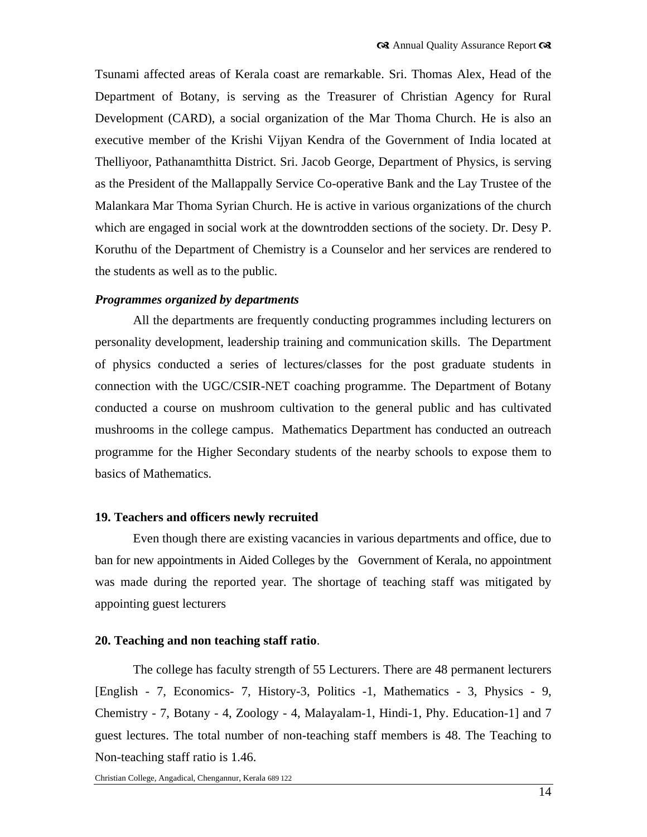Tsunami affected areas of Kerala coast are remarkable. Sri. Thomas Alex, Head of the Department of Botany, is serving as the Treasurer of Christian Agency for Rural Development (CARD), a social organization of the Mar Thoma Church. He is also an executive member of the Krishi Vijyan Kendra of the Government of India located at Thelliyoor, Pathanamthitta District. Sri. Jacob George, Department of Physics, is serving as the President of the Mallappally Service Co-operative Bank and the Lay Trustee of the Malankara Mar Thoma Syrian Church. He is active in various organizations of the church which are engaged in social work at the downtrodden sections of the society. Dr. Desy P. Koruthu of the Department of Chemistry is a Counselor and her services are rendered to the students as well as to the public.

#### *Programmes organized by departments*

All the departments are frequently conducting programmes including lecturers on personality development, leadership training and communication skills. The Department of physics conducted a series of lectures/classes for the post graduate students in connection with the UGC/CSIR-NET coaching programme. The Department of Botany conducted a course on mushroom cultivation to the general public and has cultivated mushrooms in the college campus. Mathematics Department has conducted an outreach programme for the Higher Secondary students of the nearby schools to expose them to basics of Mathematics.

## **19. Teachers and officers newly recruited**

Even though there are existing vacancies in various departments and office, due to ban for new appointments in Aided Colleges by the Government of Kerala, no appointment was made during the reported year. The shortage of teaching staff was mitigated by appointing guest lecturers

#### **20. Teaching and non teaching staff ratio**.

The college has faculty strength of 55 Lecturers. There are 48 permanent lecturers [English - 7, Economics- 7, History-3, Politics -1, Mathematics - 3, Physics - 9, Chemistry - 7, Botany - 4, Zoology - 4, Malayalam-1, Hindi-1, Phy. Education-1] and 7 guest lectures. The total number of non-teaching staff members is 48. The Teaching to Non-teaching staff ratio is 1.46.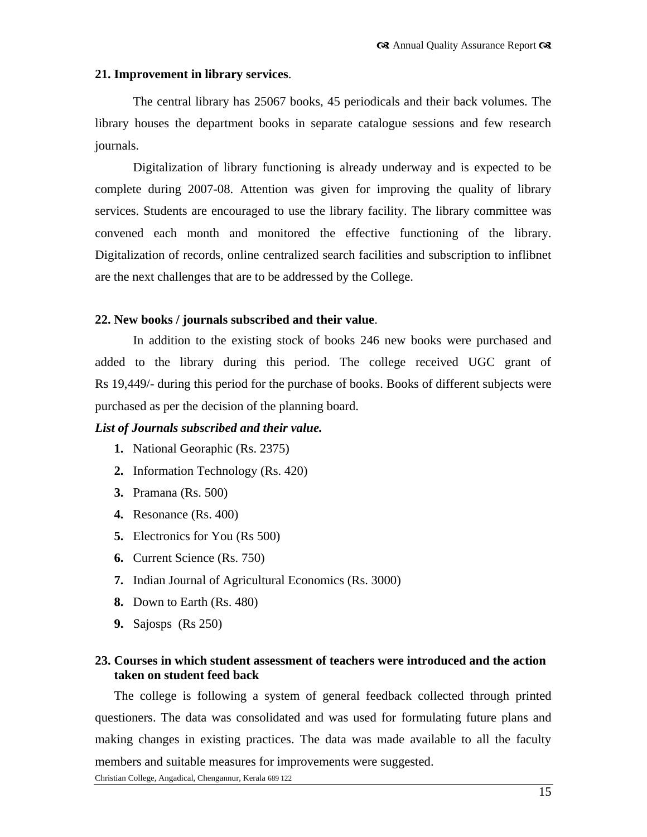#### **21. Improvement in library services**.

The central library has 25067 books, 45 periodicals and their back volumes. The library houses the department books in separate catalogue sessions and few research journals.

Digitalization of library functioning is already underway and is expected to be complete during 2007-08. Attention was given for improving the quality of library services. Students are encouraged to use the library facility. The library committee was convened each month and monitored the effective functioning of the library. Digitalization of records, online centralized search facilities and subscription to inflibnet are the next challenges that are to be addressed by the College.

#### **22. New books / journals subscribed and their value**.

In addition to the existing stock of books 246 new books were purchased and added to the library during this period. The college received UGC grant of Rs 19,449/- during this period for the purchase of books. Books of different subjects were purchased as per the decision of the planning board.

## *List of Journals subscribed and their value.*

- **1.** National Georaphic (Rs. 2375)
- **2.** Information Technology (Rs. 420)
- **3.** Pramana (Rs. 500)
- **4.** Resonance (Rs. 400)
- **5.** Electronics for You (Rs 500)
- **6.** Current Science (Rs. 750)
- **7.** Indian Journal of Agricultural Economics (Rs. 3000)
- **8.** Down to Earth (Rs. 480)
- **9.** Sajosps (Rs 250)

## **23. Courses in which student assessment of teachers were introduced and the action taken on student feed back**

The college is following a system of general feedback collected through printed questioners. The data was consolidated and was used for formulating future plans and making changes in existing practices. The data was made available to all the faculty members and suitable measures for improvements were suggested.

Christian College, Angadical, Chengannur, Kerala 689 122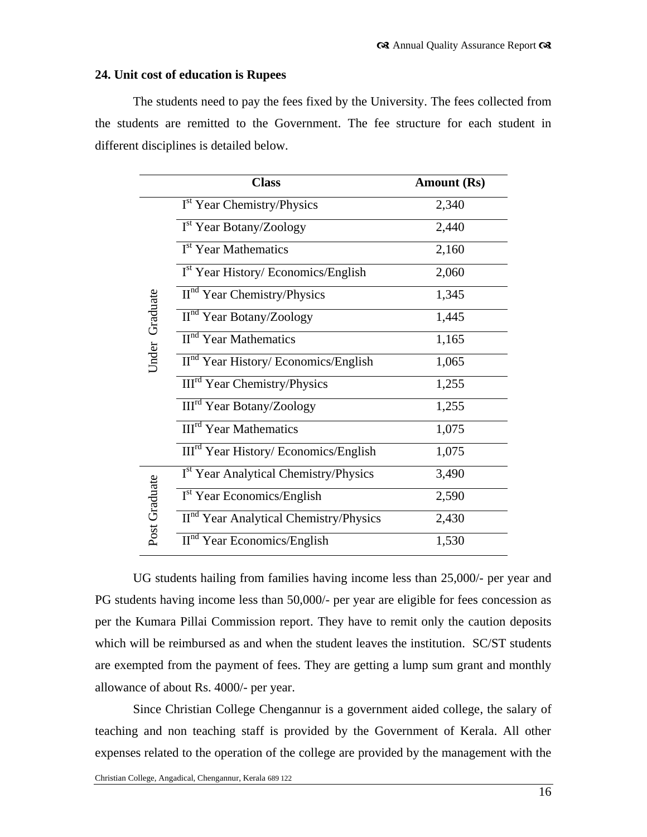#### **24. Unit cost of education is Rupees**

The students need to pay the fees fixed by the University. The fees collected from the students are remitted to the Government. The fee structure for each student in different disciplines is detailed below.

|                | <b>Class</b>                                       | <b>Amount (Rs)</b> |
|----------------|----------------------------------------------------|--------------------|
|                | I <sup>st</sup> Year Chemistry/Physics             | 2,340              |
|                | I <sup>st</sup> Year Botany/Zoology                | 2,440              |
|                | I <sup>st</sup> Year Mathematics                   | 2,160              |
|                | $\overline{I^{st}}$ Year History/Economics/English | 2,060              |
|                | $IInd Year Chemistry/Physics$                      | 1,345              |
|                | $\overline{II}^{\text{nd}}$ Year Botany/Zoology    | 1,445              |
| Under Graduate | II <sup>nd</sup> Year Mathematics                  | 1,165              |
|                | II <sup>nd</sup> Year History/ Economics/English   | 1,065              |
|                | III <sup>rd</sup> Year Chemistry/Physics           | 1,255              |
|                | III <sup>rd</sup> Year Botany/Zoology              | 1,255              |
|                | <b>III<sup>rd</sup></b> Year Mathematics           | 1,075              |
|                | III <sup>rd</sup> Year History/ Economics/English  | 1,075              |
|                | I <sup>st</sup> Year Analytical Chemistry/Physics  | 3,490              |
|                | $\overline{I}^{\text{st}}$ Year Economics/English  | 2,590              |
| Post Graduate  | II <sup>nd</sup> Year Analytical Chemistry/Physics | 2,430              |
|                | $IInd Year Economics/English$                      | 1,530              |

UG students hailing from families having income less than 25,000/- per year and PG students having income less than 50,000/- per year are eligible for fees concession as per the Kumara Pillai Commission report. They have to remit only the caution deposits which will be reimbursed as and when the student leaves the institution. SC/ST students are exempted from the payment of fees. They are getting a lump sum grant and monthly allowance of about Rs. 4000/- per year.

Since Christian College Chengannur is a government aided college, the salary of teaching and non teaching staff is provided by the Government of Kerala. All other expenses related to the operation of the college are provided by the management with the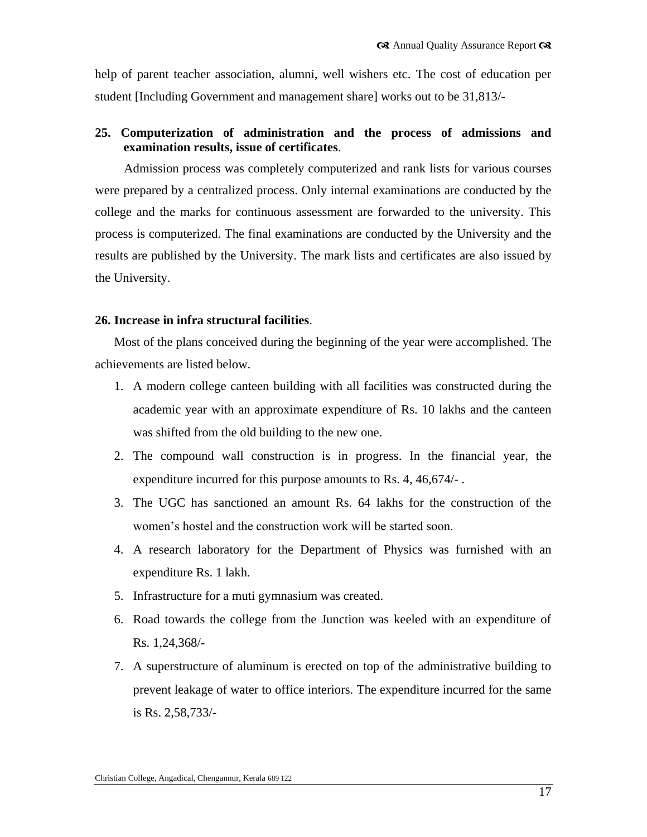help of parent teacher association, alumni, well wishers etc. The cost of education per student [Including Government and management share] works out to be 31,813/-

## **25. Computerization of administration and the process of admissions and examination results, issue of certificates**.

Admission process was completely computerized and rank lists for various courses were prepared by a centralized process. Only internal examinations are conducted by the college and the marks for continuous assessment are forwarded to the university. This process is computerized. The final examinations are conducted by the University and the results are published by the University. The mark lists and certificates are also issued by the University.

#### **26. Increase in infra structural facilities**.

Most of the plans conceived during the beginning of the year were accomplished. The achievements are listed below.

- 1. A modern college canteen building with all facilities was constructed during the academic year with an approximate expenditure of Rs. 10 lakhs and the canteen was shifted from the old building to the new one.
- 2. The compound wall construction is in progress. In the financial year, the expenditure incurred for this purpose amounts to Rs. 4, 46,674/- .
- 3. The UGC has sanctioned an amount Rs. 64 lakhs for the construction of the women"s hostel and the construction work will be started soon.
- 4. A research laboratory for the Department of Physics was furnished with an expenditure Rs. 1 lakh.
- 5. Infrastructure for a muti gymnasium was created.
- 6. Road towards the college from the Junction was keeled with an expenditure of Rs. 1,24,368/-
- 7. A superstructure of aluminum is erected on top of the administrative building to prevent leakage of water to office interiors. The expenditure incurred for the same is Rs. 2,58,733/-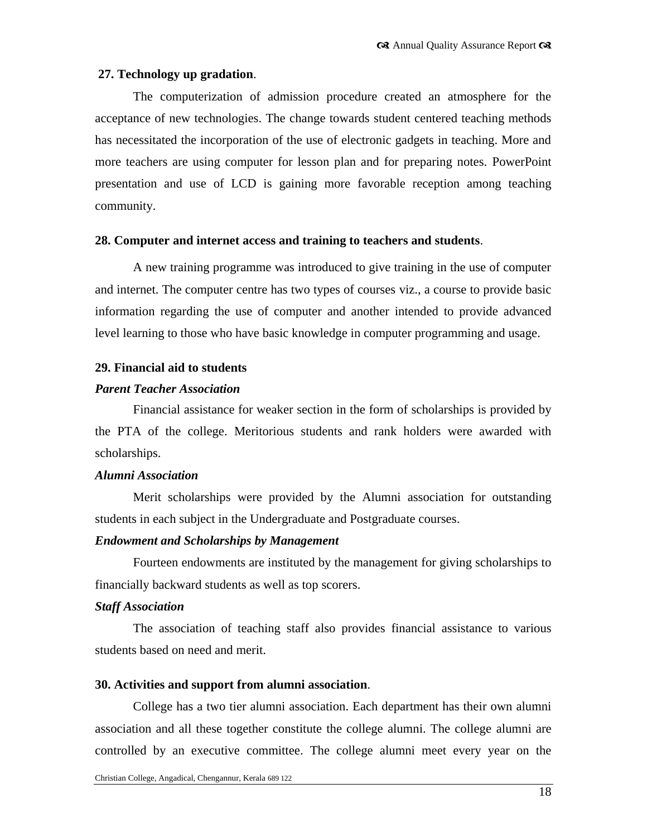#### **27. Technology up gradation**.

The computerization of admission procedure created an atmosphere for the acceptance of new technologies. The change towards student centered teaching methods has necessitated the incorporation of the use of electronic gadgets in teaching. More and more teachers are using computer for lesson plan and for preparing notes. PowerPoint presentation and use of LCD is gaining more favorable reception among teaching community.

#### **28. Computer and internet access and training to teachers and students**.

A new training programme was introduced to give training in the use of computer and internet. The computer centre has two types of courses viz., a course to provide basic information regarding the use of computer and another intended to provide advanced level learning to those who have basic knowledge in computer programming and usage.

## **29. Financial aid to students**

#### *Parent Teacher Association*

Financial assistance for weaker section in the form of scholarships is provided by the PTA of the college. Meritorious students and rank holders were awarded with scholarships.

#### *Alumni Association*

Merit scholarships were provided by the Alumni association for outstanding students in each subject in the Undergraduate and Postgraduate courses.

#### *Endowment and Scholarships by Management*

Fourteen endowments are instituted by the management for giving scholarships to financially backward students as well as top scorers.

#### *Staff Association*

The association of teaching staff also provides financial assistance to various students based on need and merit.

#### **30. Activities and support from alumni association**.

College has a two tier alumni association. Each department has their own alumni association and all these together constitute the college alumni. The college alumni are controlled by an executive committee. The college alumni meet every year on the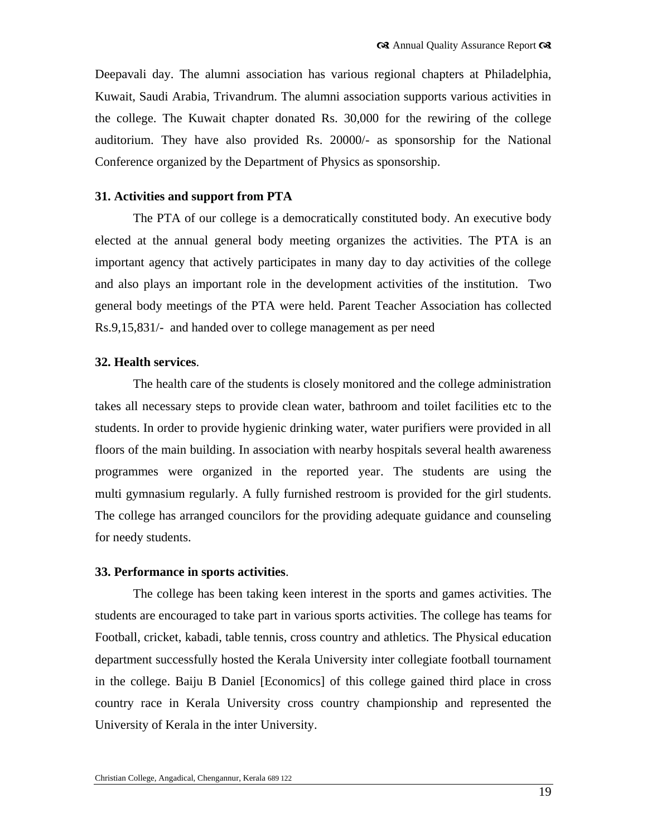Deepavali day. The alumni association has various regional chapters at Philadelphia, Kuwait, Saudi Arabia, Trivandrum. The alumni association supports various activities in the college. The Kuwait chapter donated Rs. 30,000 for the rewiring of the college auditorium. They have also provided Rs. 20000/- as sponsorship for the National Conference organized by the Department of Physics as sponsorship.

#### **31. Activities and support from PTA**

The PTA of our college is a democratically constituted body. An executive body elected at the annual general body meeting organizes the activities. The PTA is an important agency that actively participates in many day to day activities of the college and also plays an important role in the development activities of the institution. Two general body meetings of the PTA were held. Parent Teacher Association has collected Rs.9,15,831/- and handed over to college management as per need

#### **32. Health services**.

The health care of the students is closely monitored and the college administration takes all necessary steps to provide clean water, bathroom and toilet facilities etc to the students. In order to provide hygienic drinking water, water purifiers were provided in all floors of the main building. In association with nearby hospitals several health awareness programmes were organized in the reported year. The students are using the multi gymnasium regularly. A fully furnished restroom is provided for the girl students. The college has arranged councilors for the providing adequate guidance and counseling for needy students.

#### **33. Performance in sports activities**.

The college has been taking keen interest in the sports and games activities. The students are encouraged to take part in various sports activities. The college has teams for Football, cricket, kabadi, table tennis, cross country and athletics. The Physical education department successfully hosted the Kerala University inter collegiate football tournament in the college. Baiju B Daniel [Economics] of this college gained third place in cross country race in Kerala University cross country championship and represented the University of Kerala in the inter University.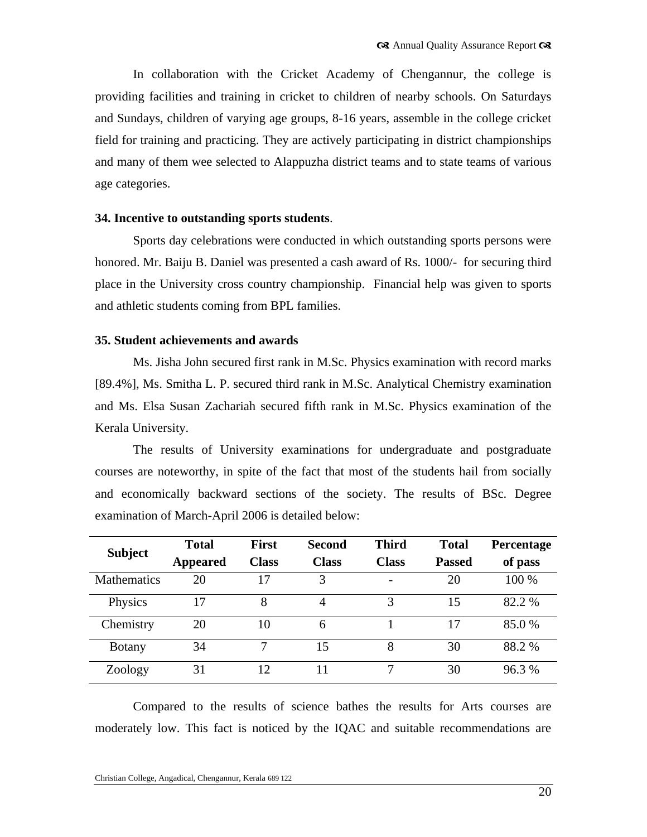In collaboration with the Cricket Academy of Chengannur, the college is providing facilities and training in cricket to children of nearby schools. On Saturdays and Sundays, children of varying age groups, 8-16 years, assemble in the college cricket field for training and practicing. They are actively participating in district championships and many of them wee selected to Alappuzha district teams and to state teams of various age categories.

#### **34. Incentive to outstanding sports students**.

Sports day celebrations were conducted in which outstanding sports persons were honored. Mr. Baiju B. Daniel was presented a cash award of Rs. 1000/- for securing third place in the University cross country championship. Financial help was given to sports and athletic students coming from BPL families.

#### **35. Student achievements and awards**

Ms. Jisha John secured first rank in M.Sc. Physics examination with record marks [89.4%], Ms. Smitha L. P. secured third rank in M.Sc. Analytical Chemistry examination and Ms. Elsa Susan Zachariah secured fifth rank in M.Sc. Physics examination of the Kerala University.

The results of University examinations for undergraduate and postgraduate courses are noteworthy, in spite of the fact that most of the students hail from socially and economically backward sections of the society. The results of BSc. Degree examination of March-April 2006 is detailed below:

| <b>Subject</b>     | <b>Total</b>    | <b>First</b> | <b>Second</b> | <b>Third</b> | <b>Total</b>  | Percentage |
|--------------------|-----------------|--------------|---------------|--------------|---------------|------------|
|                    | <b>Appeared</b> | <b>Class</b> | <b>Class</b>  | <b>Class</b> | <b>Passed</b> | of pass    |
| <b>Mathematics</b> | 20              | 17           | 3             |              | 20            | 100 %      |
| Physics            | 17              | 8            | 4             | 3            | 15            | 82.2 %     |
| Chemistry          | 20              | 10           | 6             |              | 17            | 85.0%      |
| <b>Botany</b>      | 34              |              | 15            | 8            | 30            | 88.2 %     |
| Zoology            | 31              | 12           | 11            |              | 30            | 96.3%      |

Compared to the results of science bathes the results for Arts courses are moderately low. This fact is noticed by the IQAC and suitable recommendations are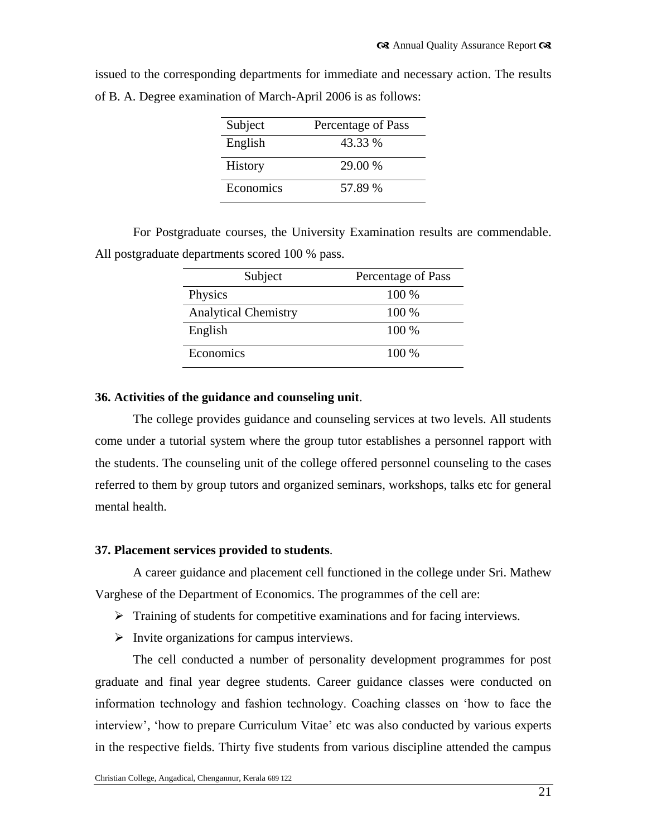| Subject   | Percentage of Pass |
|-----------|--------------------|
| English   | 43.33 %            |
| History   | 29.00 %            |
| Economics | 57.89%             |

issued to the corresponding departments for immediate and necessary action. The results of B. A. Degree examination of March-April 2006 is as follows:

For Postgraduate courses, the University Examination results are commendable. All postgraduate departments scored 100 % pass.

| Subject                     | Percentage of Pass |
|-----------------------------|--------------------|
| Physics                     | $100\%$            |
| <b>Analytical Chemistry</b> | 100 %              |
| English                     | $100\%$            |
| Economics                   | $100\%$            |

#### **36. Activities of the guidance and counseling unit**.

The college provides guidance and counseling services at two levels. All students come under a tutorial system where the group tutor establishes a personnel rapport with the students. The counseling unit of the college offered personnel counseling to the cases referred to them by group tutors and organized seminars, workshops, talks etc for general mental health.

#### **37. Placement services provided to students**.

A career guidance and placement cell functioned in the college under Sri. Mathew Varghese of the Department of Economics. The programmes of the cell are:

- $\triangleright$  Training of students for competitive examinations and for facing interviews.
- $\triangleright$  Invite organizations for campus interviews.

The cell conducted a number of personality development programmes for post graduate and final year degree students. Career guidance classes were conducted on information technology and fashion technology. Coaching classes on "how to face the interview", "how to prepare Curriculum Vitae" etc was also conducted by various experts in the respective fields. Thirty five students from various discipline attended the campus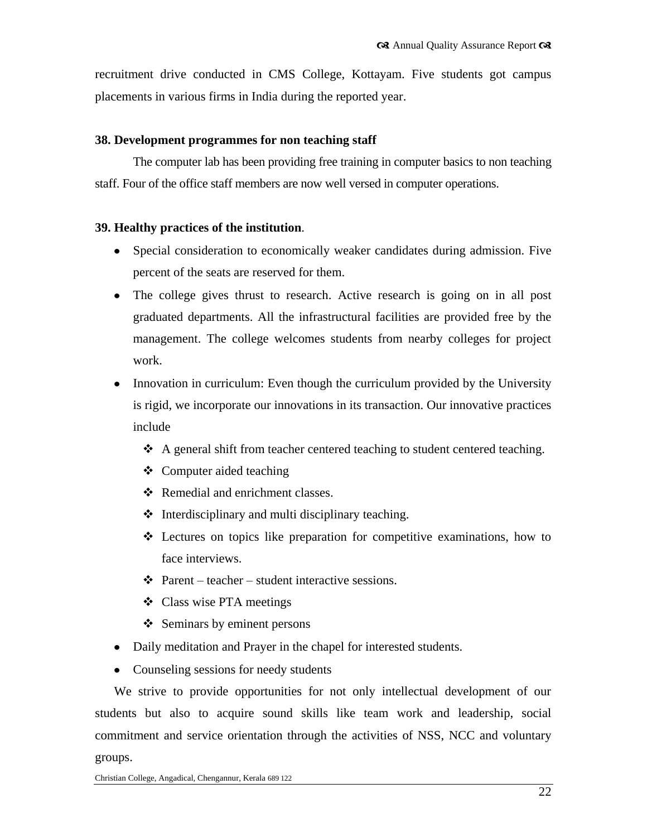recruitment drive conducted in CMS College, Kottayam. Five students got campus placements in various firms in India during the reported year.

#### **38. Development programmes for non teaching staff**

The computer lab has been providing free training in computer basics to non teaching staff. Four of the office staff members are now well versed in computer operations.

## **39. Healthy practices of the institution**.

- Special consideration to economically weaker candidates during admission. Five percent of the seats are reserved for them.
- The college gives thrust to research. Active research is going on in all post graduated departments. All the infrastructural facilities are provided free by the management. The college welcomes students from nearby colleges for project work.
- $\bullet$ Innovation in curriculum: Even though the curriculum provided by the University is rigid, we incorporate our innovations in its transaction. Our innovative practices include
	- $\triangle$  A general shift from teacher centered teaching to student centered teaching.
	- $\triangleleft$  Computer aided teaching
	- Remedial and enrichment classes.
	- $\triangleleft$  Interdisciplinary and multi disciplinary teaching.
	- Lectures on topics like preparation for competitive examinations, how to face interviews.
	- $\triangle$  Parent teacher student interactive sessions.
	- Class wise PTA meetings
	- $\triangleleft$  Seminars by eminent persons
- Daily meditation and Prayer in the chapel for interested students.
- Counseling sessions for needy students

We strive to provide opportunities for not only intellectual development of our students but also to acquire sound skills like team work and leadership, social commitment and service orientation through the activities of NSS, NCC and voluntary groups.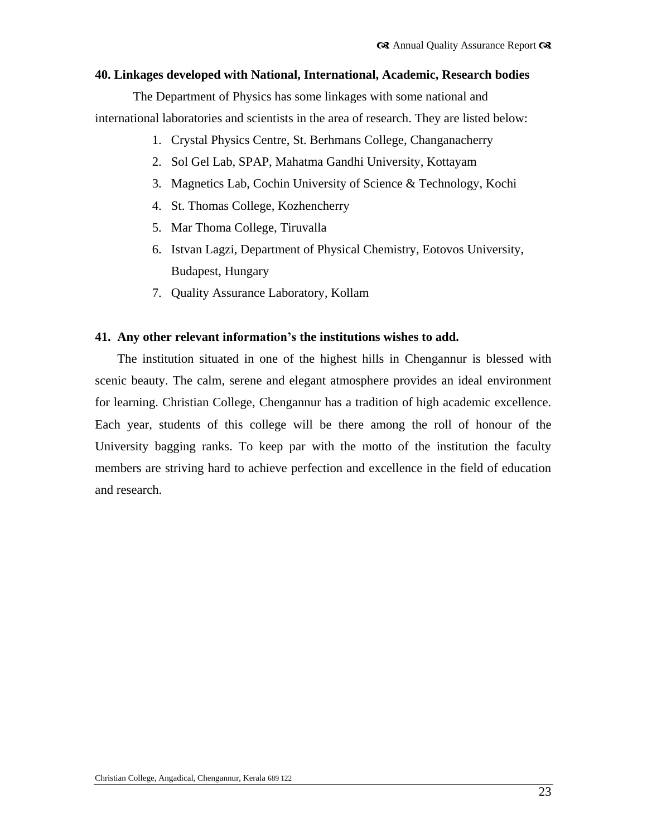#### **40. Linkages developed with National, International, Academic, Research bodies**

The Department of Physics has some linkages with some national and international laboratories and scientists in the area of research. They are listed below:

- 1. Crystal Physics Centre, St. Berhmans College, Changanacherry
- 2. Sol Gel Lab, SPAP, Mahatma Gandhi University, Kottayam
- 3. Magnetics Lab, Cochin University of Science & Technology, Kochi
- 4. St. Thomas College, Kozhencherry
- 5. Mar Thoma College, Tiruvalla
- 6. Istvan Lagzi, Department of Physical Chemistry, Eotovos University, Budapest, Hungary
- 7. Quality Assurance Laboratory, Kollam

#### **41. Any other relevant information's the institutions wishes to add.**

The institution situated in one of the highest hills in Chengannur is blessed with scenic beauty. The calm, serene and elegant atmosphere provides an ideal environment for learning. Christian College, Chengannur has a tradition of high academic excellence. Each year, students of this college will be there among the roll of honour of the University bagging ranks. To keep par with the motto of the institution the faculty members are striving hard to achieve perfection and excellence in the field of education and research.